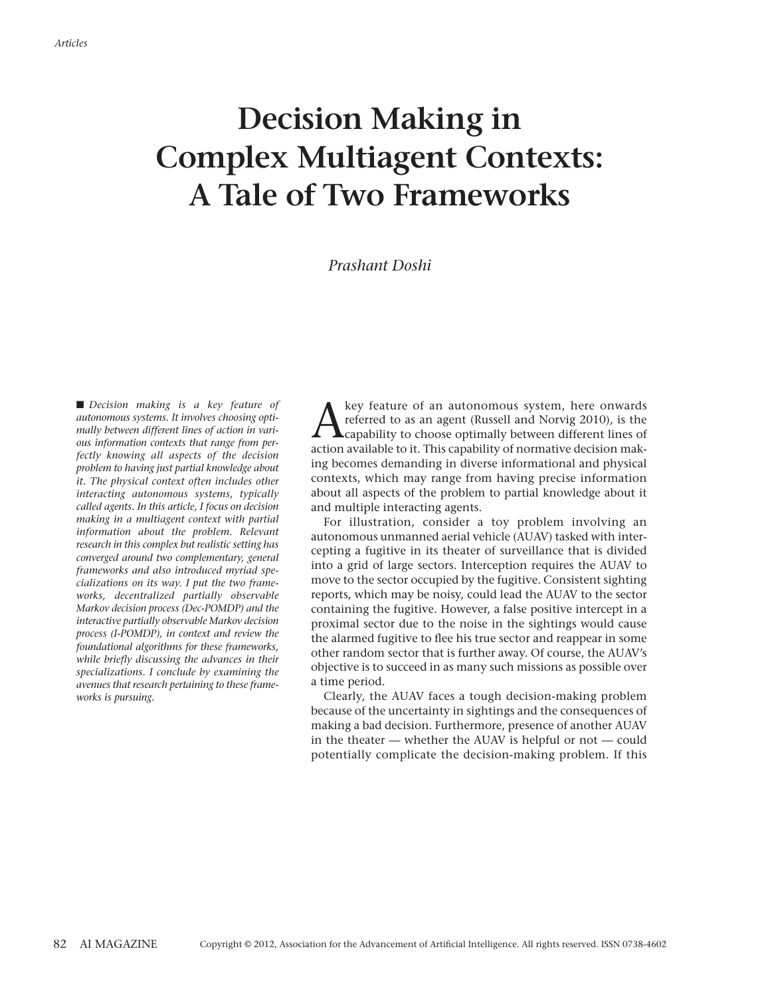*Articles*

# **Decision Making in Complex Multiagent Contexts: A Tale of Two Frameworks**

*Prashant Doshi*

■ *Decision making is a key feature of autonomous systems. It involves choosing optimally between different lines of action in various information contexts that range from perfectly knowing all aspects of the decision problem to having just partial knowledge about it. The physical context often includes other interacting autonomous systems, typically called agents. In this article, I focus on decision making in a multiagent context with partial information about the problem. Relevant research in this complex but realistic setting has converged around two complementary, general frameworks and also introduced myriad specializations on its way. I put the two frameworks, decentralized partially observable Markov decision process (Dec-POMDP) and the interactive partially observable Markov decision process (I-POMDP), in context and review the foundational algorithms for these frameworks, while briefly discussing the advances in their specializations. I conclude by examining the avenues that research pertaining to these frameworks is pursuing.*

 $\bigwedge^{\text{key feature of an autonomous system, here onwards}}$ <br>referred to as an agent (Russell and Norvig 2010), is the<br>capability to choose optimally between different lines of<br>action available to it. This capability of normative decision mak referred to as an agent (Russell and Norvig 2010), is the capability to choose optimally between different lines of action available to it. This capability of normative decision making becomes demanding in diverse informational and physical contexts, which may range from having precise information about all aspects of the problem to partial knowledge about it and multiple interacting agents.

For illustration, consider a toy problem involving an autonomous unmanned aerial vehicle (AUAV) tasked with intercepting a fugitive in its theater of surveillance that is divided into a grid of large sectors. Interception requires the AUAV to move to the sector occupied by the fugitive. Consistent sighting reports, which may be noisy, could lead the AUAV to the sector containing the fugitive. However, a false positive intercept in a proximal sector due to the noise in the sightings would cause the alarmed fugitive to flee his true sector and reappear in some other random sector that is further away. Of course, the AUAV's objective is to succeed in as many such missions as possible over a time period.

Clearly, the AUAV faces a tough decision-making problem because of the uncertainty in sightings and the consequences of making a bad decision. Furthermore, presence of another AUAV in the theater — whether the AUAV is helpful or not — could potentially complicate the decision-making problem. If this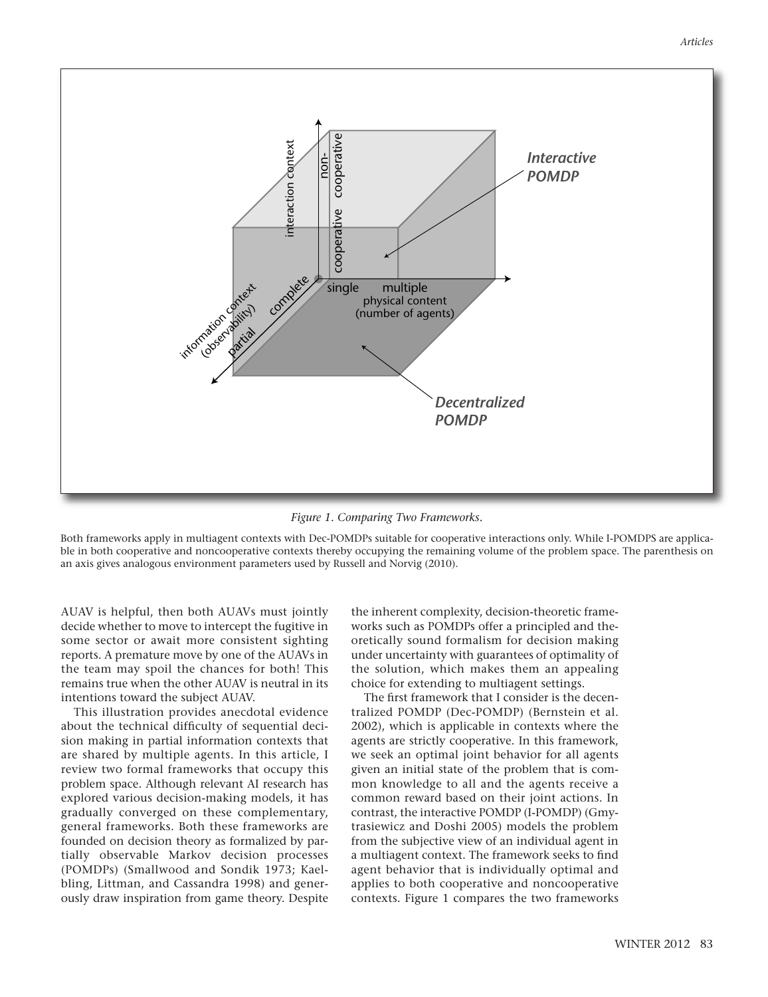

*Figure 1. Comparing Two Frameworks.*

Both frameworks apply in multiagent contexts with Dec-POMDPs suitable for cooperative interactions only. While I-POMDPS are applicable in both cooperative and noncooperative contexts thereby occupying the remaining volume of the problem space. The parenthesis on an axis gives analogous environment parameters used by Russell and Norvig (2010).

AUAV is helpful, then both AUAVs must jointly decide whether to move to intercept the fugitive in some sector or await more consistent sighting reports. A premature move by one of the AUAVs in the team may spoil the chances for both! This remains true when the other AUAV is neutral in its intentions toward the subject AUAV.

This illustration provides anecdotal evidence about the technical difficulty of sequential decision making in partial information contexts that are shared by multiple agents. In this article, I review two formal frameworks that occupy this problem space. Although relevant AI research has explored various decision-making models, it has gradually converged on these complementary, general frameworks. Both these frameworks are founded on decision theory as formalized by partially observable Markov decision processes (POMDPs) (Smallwood and Sondik 1973; Kaelbling, Littman, and Cassandra 1998) and generously draw inspiration from game theory. Despite

the inherent complexity, decision-theoretic frameworks such as POMDPs offer a principled and theoretically sound formalism for decision making under uncertainty with guarantees of optimality of the solution, which makes them an appealing choice for extending to multiagent settings.

The first framework that I consider is the decentralized POMDP (Dec-POMDP) (Bernstein et al. 2002), which is applicable in contexts where the agents are strictly cooperative. In this framework, we seek an optimal joint behavior for all agents given an initial state of the problem that is common knowledge to all and the agents receive a common reward based on their joint actions. In contrast, the interactive POMDP (I-POMDP) (Gmytrasiewicz and Doshi 2005) models the problem from the subjective view of an individual agent in a multiagent context. The framework seeks to find agent behavior that is individually optimal and applies to both cooperative and noncooperative contexts. Figure 1 compares the two frameworks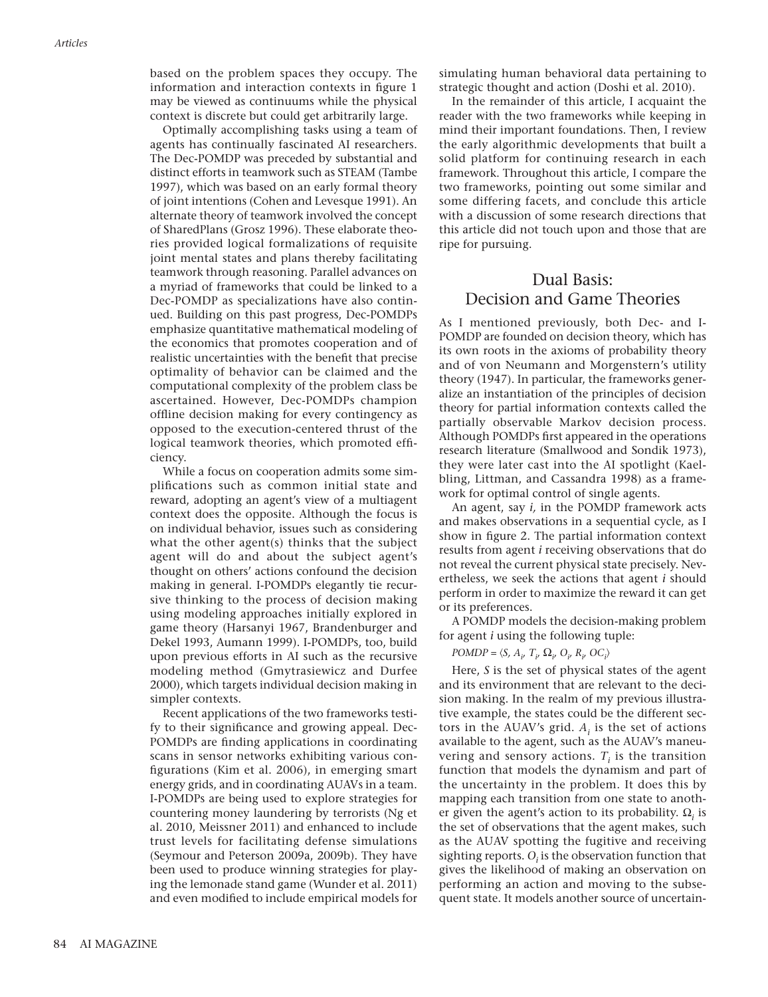based on the problem spaces they occupy. The information and interaction contexts in figure 1 may be viewed as continuums while the physical context is discrete but could get arbitrarily large.

Optimally accomplishing tasks using a team of agents has continually fascinated AI researchers. The Dec-POMDP was preceded by substantial and distinct efforts in teamwork such as STEAM (Tambe 1997), which was based on an early formal theory of joint intentions (Cohen and Levesque 1991). An alternate theory of teamwork involved the concept of SharedPlans (Grosz 1996). These elaborate theories provided logical formalizations of requisite joint mental states and plans thereby facilitating teamwork through reasoning. Parallel advances on a myriad of frameworks that could be linked to a Dec-POMDP as specializations have also continued. Building on this past progress, Dec-POMDPs emphasize quantitative mathematical modeling of the economics that promotes cooperation and of realistic uncertainties with the benefit that precise optimality of behavior can be claimed and the computational complexity of the problem class be ascertained. However, Dec-POMDPs champion offline decision making for every contingency as opposed to the execution-centered thrust of the logical teamwork theories, which promoted efficiency.

While a focus on cooperation admits some simplifications such as common initial state and reward, adopting an agent's view of a multiagent context does the opposite. Although the focus is on individual behavior, issues such as considering what the other agent(s) thinks that the subject agent will do and about the subject agent's thought on others' actions confound the decision making in general. I-POMDPs elegantly tie recursive thinking to the process of decision making using modeling approaches initially explored in game theory (Harsanyi 1967, Brandenburger and Dekel 1993, Aumann 1999). I-POMDPs, too, build upon previous efforts in AI such as the recursive modeling method (Gmytrasiewicz and Durfee 2000), which targets individual decision making in simpler contexts.

Recent applications of the two frameworks testify to their significance and growing appeal. Dec-POMDPs are finding applications in coordinating scans in sensor networks exhibiting various configurations (Kim et al. 2006), in emerging smart energy grids, and in coordinating AUAVs in a team. I-POMDPs are being used to explore strategies for countering money laundering by terrorists (Ng et al. 2010, Meissner 2011) and enhanced to include trust levels for facilitating defense simulations (Seymour and Peterson 2009a, 2009b). They have been used to produce winning strategies for playing the lemonade stand game (Wunder et al. 2011) and even modified to include empirical models for

simulating human behavioral data pertaining to strategic thought and action (Doshi et al. 2010).

In the remainder of this article, I acquaint the reader with the two frameworks while keeping in mind their important foundations. Then, I review the early algorithmic developments that built a solid platform for continuing research in each framework. Throughout this article, I compare the two frameworks, pointing out some similar and some differing facets, and conclude this article with a discussion of some research directions that this article did not touch upon and those that are ripe for pursuing.

# Dual Basis: Decision and Game Theories

As I mentioned previously, both Dec- and I-POMDP are founded on decision theory, which has its own roots in the axioms of probability theory and of von Neumann and Morgenstern's utility theory (1947). In particular, the frameworks generalize an instantiation of the principles of decision theory for partial information contexts called the partially observable Markov decision process. Although POMDPs first appeared in the operations research literature (Smallwood and Sondik 1973), they were later cast into the AI spotlight (Kaelbling, Littman, and Cassandra 1998) as a framework for optimal control of single agents.

An agent, say *i,* in the POMDP framework acts and makes observations in a sequential cycle, as I show in figure 2. The partial information context results from agent *i* receiving observations that do not reveal the current physical state precisely. Nevertheless, we seek the actions that agent *i* should perform in order to maximize the reward it can get or its preferences.

A POMDP models the decision-making problem for agent *i* using the following tuple:

 $POMDP = \langle S, A_i, T_i, \Omega_i, O_i, R_i, OC_i \rangle$ 

Here, *S* is the set of physical states of the agent and its environment that are relevant to the decision making. In the realm of my previous illustrative example, the states could be the different sectors in the AUAV's grid. *Ai* is the set of actions available to the agent, such as the AUAV's maneuvering and sensory actions.  $T_i$  is the transition function that models the dynamism and part of the uncertainty in the problem. It does this by mapping each transition from one state to another given the agent's action to its probability.  $\Omega$ , is the set of observations that the agent makes, such as the AUAV spotting the fugitive and receiving sighting reports.  $O_i$  is the observation function that gives the likelihood of making an observation on performing an action and moving to the subsequent state. It models another source of uncertain-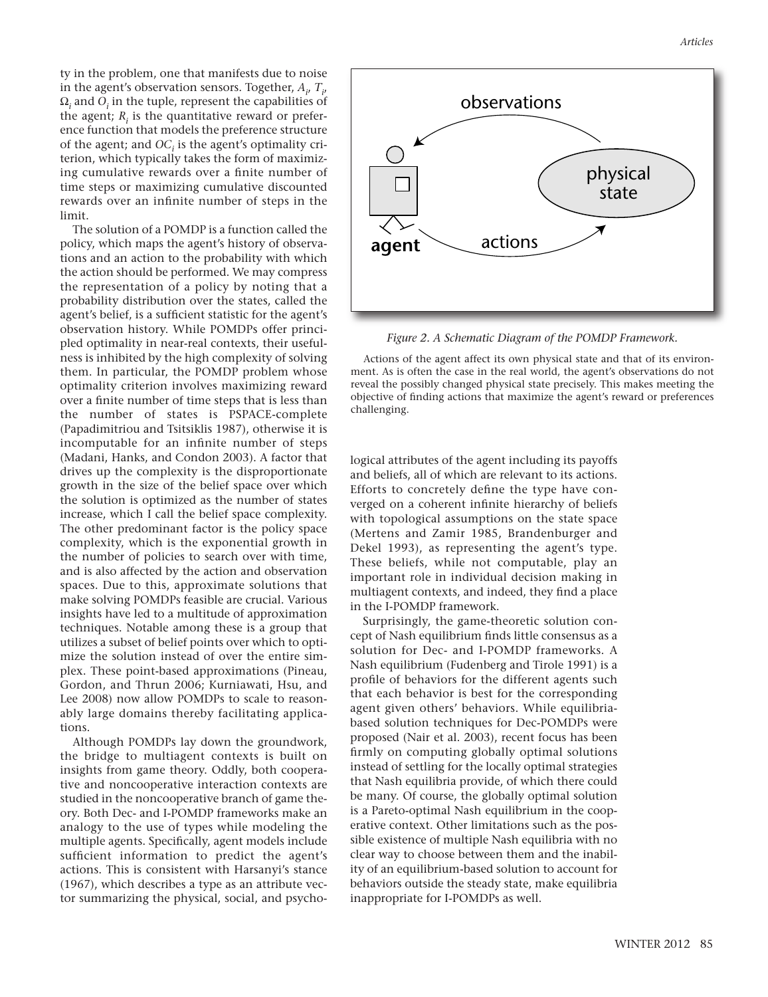ty in the problem, one that manifests due to noise in the agent's observation sensors. Together,  $A_{i}$ ,  $T_{i}$ ,  $\Omega_i$  and  $O_i$  in the tuple, represent the capabilities of the agent;  $R_i$ , is the quantitative reward or preference function that models the preference structure of the agent; and  $OC<sub>i</sub>$  is the agent's optimality criterion, which typically takes the form of maximizing cumulative rewards over a finite number of time steps or maximizing cumulative discounted rewards over an infinite number of steps in the limit.

The solution of a POMDP is a function called the policy, which maps the agent's history of observations and an action to the probability with which the action should be performed. We may compress the representation of a policy by noting that a probability distribution over the states, called the agent's belief, is a sufficient statistic for the agent's observation history. While POMDPs offer principled optimality in near-real contexts, their usefulness is inhibited by the high complexity of solving them. In particular, the POMDP problem whose optimality criterion involves maximizing reward over a finite number of time steps that is less than the number of states is PSPACE-complete (Papadimitriou and Tsitsiklis 1987), otherwise it is incomputable for an infinite number of steps (Madani, Hanks, and Condon 2003). A factor that drives up the complexity is the disproportionate growth in the size of the belief space over which the solution is optimized as the number of states increase, which I call the belief space complexity. The other predominant factor is the policy space complexity, which is the exponential growth in the number of policies to search over with time, and is also affected by the action and observation spaces. Due to this, approximate solutions that make solving POMDPs feasible are crucial. Various insights have led to a multitude of approximation techniques. Notable among these is a group that utilizes a subset of belief points over which to optimize the solution instead of over the entire simplex. These point-based approximations (Pineau, Gordon, and Thrun 2006; Kurniawati, Hsu, and Lee 2008) now allow POMDPs to scale to reasonably large domains thereby facilitating applications.

Although POMDPs lay down the groundwork, the bridge to multiagent contexts is built on insights from game theory. Oddly, both cooperative and noncooperative interaction contexts are studied in the noncooperative branch of game theory. Both Dec- and I-POMDP frameworks make an analogy to the use of types while modeling the multiple agents. Specifically, agent models include sufficient information to predict the agent's actions. This is consistent with Harsanyi's stance (1967), which describes a type as an attribute vector summarizing the physical, social, and psycho-



*Figure 2. A Schematic Diagram of the POMDP Framework.*

Actions of the agent affect its own physical state and that of its environment. As is often the case in the real world, the agent's observations do not reveal the possibly changed physical state precisely. This makes meeting the objective of finding actions that maximize the agent's reward or preferences challenging.

logical attributes of the agent including its payoffs and beliefs, all of which are relevant to its actions. Efforts to concretely define the type have converged on a coherent infinite hierarchy of beliefs with topological assumptions on the state space (Mertens and Zamir 1985, Brandenburger and Dekel 1993), as representing the agent's type. These beliefs, while not computable, play an important role in individual decision making in multiagent contexts, and indeed, they find a place in the I-POMDP framework.

Surprisingly, the game-theoretic solution concept of Nash equilibrium finds little consensus as a solution for Dec- and I-POMDP frameworks. A Nash equilibrium (Fudenberg and Tirole 1991) is a profile of behaviors for the different agents such that each behavior is best for the corresponding agent given others' behaviors. While equilibriabased solution techniques for Dec-POMDPs were proposed (Nair et al. 2003), recent focus has been firmly on computing globally optimal solutions instead of settling for the locally optimal strategies that Nash equilibria provide, of which there could be many. Of course, the globally optimal solution is a Pareto-optimal Nash equilibrium in the cooperative context. Other limitations such as the possible existence of multiple Nash equilibria with no clear way to choose between them and the inability of an equilibrium-based solution to account for behaviors outside the steady state, make equilibria inappropriate for I-POMDPs as well.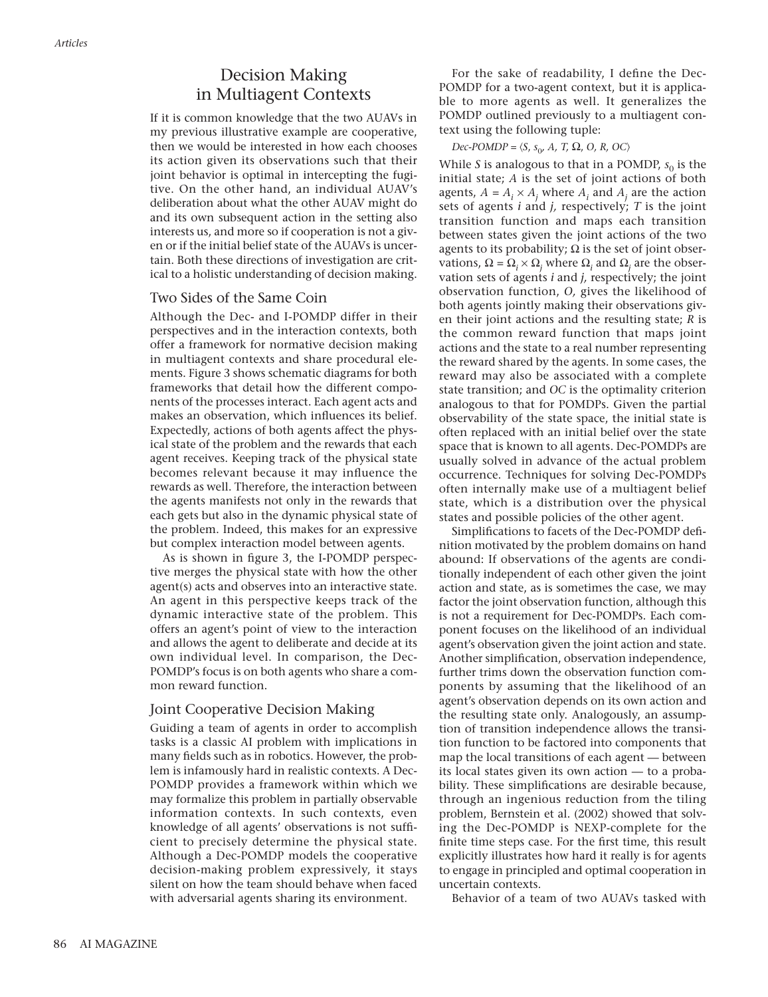# Decision Making in Multiagent Contexts

If it is common knowledge that the two AUAVs in my previous illustrative example are cooperative, then we would be interested in how each chooses its action given its observations such that their joint behavior is optimal in intercepting the fugitive. On the other hand, an individual AUAV's deliberation about what the other AUAV might do and its own subsequent action in the setting also interests us, and more so if cooperation is not a given or if the initial belief state of the AUAVs is uncertain. Both these directions of investigation are critical to a holistic understanding of decision making.

## Two Sides of the Same Coin

Although the Dec- and I-POMDP differ in their perspectives and in the interaction contexts, both offer a framework for normative decision making in multiagent contexts and share procedural elements. Figure 3 shows schematic diagrams for both frameworks that detail how the different components of the processes interact. Each agent acts and makes an observation, which influences its belief. Expectedly, actions of both agents affect the physical state of the problem and the rewards that each agent receives. Keeping track of the physical state becomes relevant because it may influence the rewards as well. Therefore, the interaction between the agents manifests not only in the rewards that each gets but also in the dynamic physical state of the problem. Indeed, this makes for an expressive but complex interaction model between agents.

As is shown in figure 3, the I-POMDP perspective merges the physical state with how the other agent(s) acts and observes into an interactive state. An agent in this perspective keeps track of the dynamic interactive state of the problem. This offers an agent's point of view to the interaction and allows the agent to deliberate and decide at its own individual level. In comparison, the Dec-POMDP's focus is on both agents who share a common reward function.

## Joint Cooperative Decision Making

Guiding a team of agents in order to accomplish tasks is a classic AI problem with implications in many fields such as in robotics. However, the problem is infamously hard in realistic contexts. A Dec-POMDP provides a framework within which we may formalize this problem in partially observable information contexts. In such contexts, even knowledge of all agents' observations is not sufficient to precisely determine the physical state. Although a Dec-POMDP models the cooperative decision-making problem expressively, it stays silent on how the team should behave when faced with adversarial agents sharing its environment.

For the sake of readability, I define the Dec-POMDP for a two-agent context, but it is applicable to more agents as well. It generalizes the POMDP outlined previously to a multiagent context using the following tuple:

#### $Dec-POMDP = \langle S, s_0, A, T, \Omega, O, R, OC \rangle$

While *S* is analogous to that in a POMDP,  $s_0$  is the initial state; *A* is the set of joint actions of both agents,  $A = A_i \times A_j$  where  $A_i$  and  $A_j$  are the action sets of agents *i* and *j,* respectively; *T* is the joint transition function and maps each transition between states given the joint actions of the two agents to its probability;  $\Omega$  is the set of joint observations,  $\Omega = \Omega_i \times \Omega_j$  where  $\Omega_i$  and  $\Omega_i$  are the observation sets of agents *i* and *j,* respectively; the joint observation function, *O,* gives the likelihood of both agents jointly making their observations given their joint actions and the resulting state; *R* is the common reward function that maps joint actions and the state to a real number representing the reward shared by the agents. In some cases, the reward may also be associated with a complete state transition; and *OC* is the optimality criterion analogous to that for POMDPs. Given the partial observability of the state space, the initial state is often replaced with an initial belief over the state space that is known to all agents. Dec-POMDPs are usually solved in advance of the actual problem occurrence. Techniques for solving Dec-POMDPs often internally make use of a multiagent belief state, which is a distribution over the physical states and possible policies of the other agent.

Simplifications to facets of the Dec-POMDP definition motivated by the problem domains on hand abound: If observations of the agents are conditionally independent of each other given the joint action and state, as is sometimes the case, we may factor the joint observation function, although this is not a requirement for Dec-POMDPs. Each component focuses on the likelihood of an individual agent's observation given the joint action and state. Another simplification, observation independence, further trims down the observation function components by assuming that the likelihood of an agent's observation depends on its own action and the resulting state only. Analogously, an assumption of transition independence allows the transition function to be factored into components that map the local transitions of each agent — between its local states given its own action — to a probability. These simplifications are desirable because, through an ingenious reduction from the tiling problem, Bernstein et al. (2002) showed that solving the Dec-POMDP is NEXP-complete for the finite time steps case. For the first time, this result explicitly illustrates how hard it really is for agents to engage in principled and optimal cooperation in uncertain contexts.

Behavior of a team of two AUAVs tasked with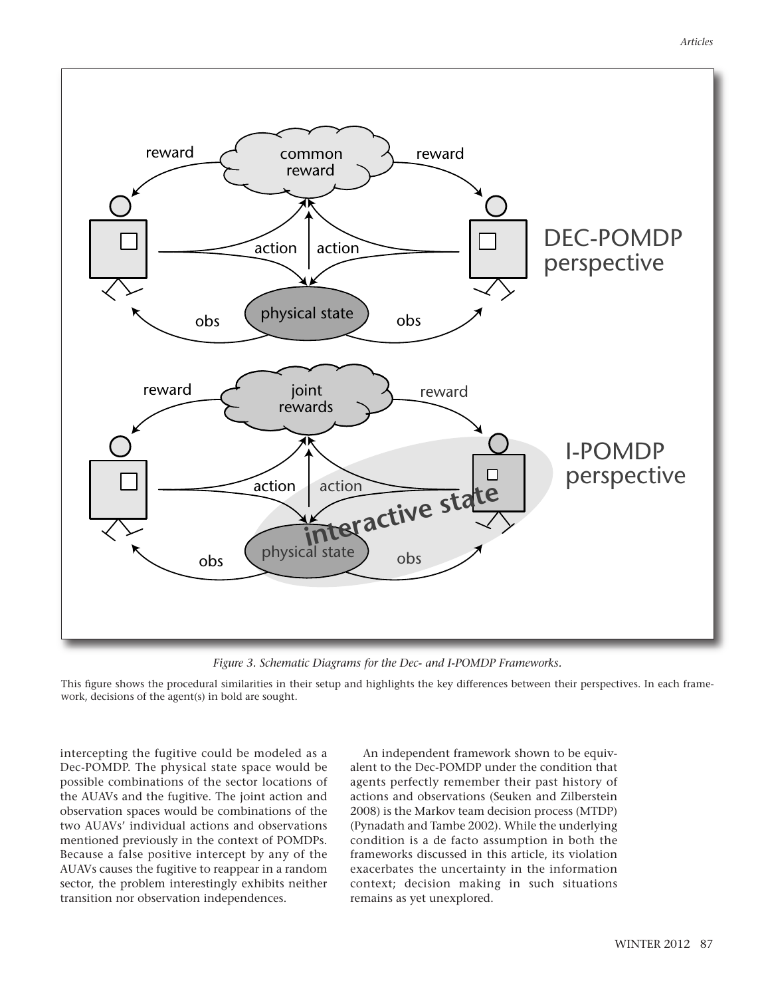

*Figure 3. Schematic Diagrams for the Dec- and I-POMDP Frameworks.*

This figure shows the procedural similarities in their setup and highlights the key differences between their perspectives. In each framework, decisions of the agent(s) in bold are sought.

intercepting the fugitive could be modeled as a Dec-POMDP. The physical state space would be possible combinations of the sector locations of the AUAVs and the fugitive. The joint action and observation spaces would be combinations of the two AUAVs' individual actions and observations mentioned previously in the context of POMDPs. Because a false positive intercept by any of the AUAVs causes the fugitive to reappear in a random sector, the problem interestingly exhibits neither transition nor observation independences.

An independent framework shown to be equivalent to the Dec-POMDP under the condition that agents perfectly remember their past history of actions and observations (Seuken and Zilberstein 2008) is the Markov team decision process (MTDP) (Pynadath and Tambe 2002). While the underlying condition is a de facto assumption in both the frameworks discussed in this article, its violation exacerbates the uncertainty in the information context; decision making in such situations remains as yet unexplored.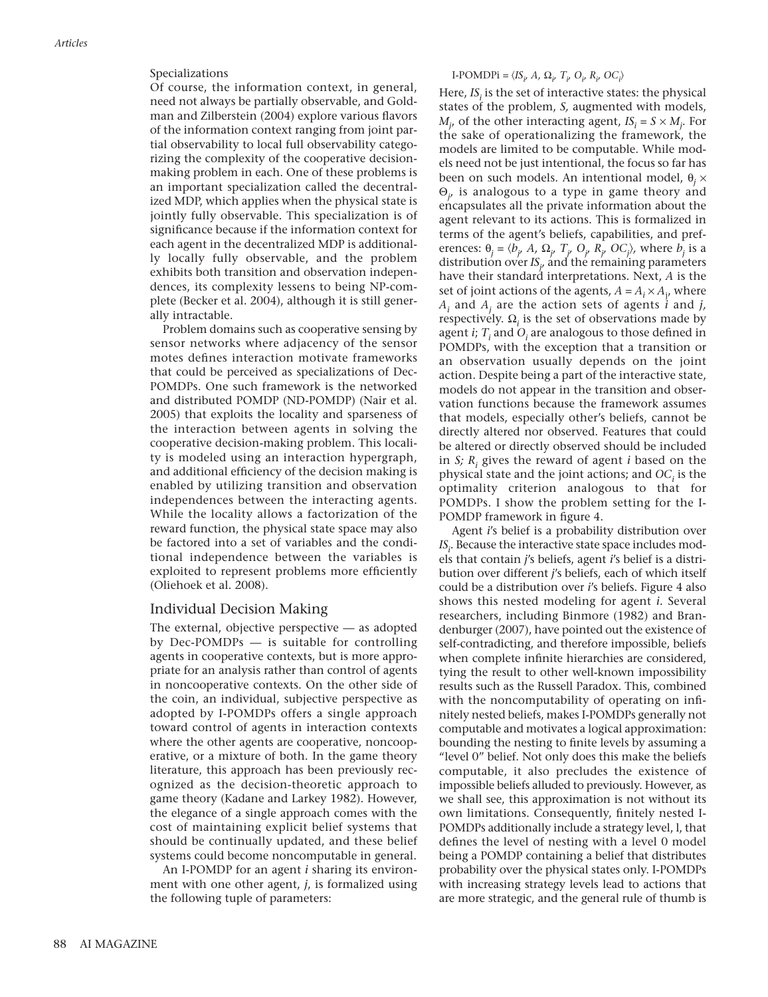#### Specializations

Of course, the information context, in general, need not always be partially observable, and Goldman and Zilberstein (2004) explore various flavors of the information context ranging from joint partial observability to local full observability categorizing the complexity of the cooperative decisionmaking problem in each. One of these problems is an important specialization called the decentralized MDP, which applies when the physical state is jointly fully observable. This specialization is of significance because if the information context for each agent in the decentralized MDP is additionally locally fully observable, and the problem exhibits both transition and observation independences, its complexity lessens to being NP-complete (Becker et al. 2004), although it is still generally intractable.

Problem domains such as cooperative sensing by sensor networks where adjacency of the sensor motes defines interaction motivate frameworks that could be perceived as specializations of Dec-POMDPs. One such framework is the networked and distributed POMDP (ND-POMDP) (Nair et al. 2005) that exploits the locality and sparseness of the interaction between agents in solving the cooperative decision-making problem. This locality is modeled using an interaction hypergraph, and additional efficiency of the decision making is enabled by utilizing transition and observation independences between the interacting agents. While the locality allows a factorization of the reward function, the physical state space may also be factored into a set of variables and the conditional independence between the variables is exploited to represent problems more efficiently (Oliehoek et al. 2008).

#### Individual Decision Making

The external, objective perspective — as adopted by Dec-POMDPs — is suitable for controlling agents in cooperative contexts, but is more appropriate for an analysis rather than control of agents in noncooperative contexts. On the other side of the coin, an individual, subjective perspective as adopted by I-POMDPs offers a single approach toward control of agents in interaction contexts where the other agents are cooperative, noncooperative, or a mixture of both. In the game theory literature, this approach has been previously recognized as the decision-theoretic approach to game theory (Kadane and Larkey 1982). However, the elegance of a single approach comes with the cost of maintaining explicit belief systems that should be continually updated, and these belief systems could become noncomputable in general.

An I-POMDP for an agent *i* sharing its environment with one other agent, *j*, is formalized using the following tuple of parameters:

## $I\text{-}POMDPi = \langle IS_i, A, \Omega_i, T_i, O_i, R_i, OC_i \rangle$

Here, *IS*, is the set of interactive states: the physical states of the problem, *S,* augmented with models,  $M_{i'}$  of the other interacting agent,  $IS_i = S \times M_{i'}$ . For the sake of operationalizing the framework, the models are limited to be computable. While models need not be just intentional, the focus so far has been on such models. An intentional model,  $\theta$ ,  $\times$  $\Theta_{j'}$  is analogous to a type in game theory and encapsulates all the private information about the agent relevant to its actions. This is formalized in terms of the agent's beliefs, capabilities, and preferences:  $\theta_j = \langle b_{j}, A, \Omega_{j}, T_{j}, O_{j}, R_{j}, OC_{j} \rangle$ , where  $b_j$  is a distribution over *ISj ,* and the remaining parameters have their standard interpretations. Next, *A* is the set of joint actions of the agents,  $A = A_i \times A_j$ , where *Ai* and *Aj* are the action sets of agents *i* and *j,* respectively.  $\Omega_i$  is the set of observations made by agent *i*; *T*<sub>*i*</sub> and *O*<sub>*i*</sub> are analogous to those defined in POMDPs, with the exception that a transition or an observation usually depends on the joint action. Despite being a part of the interactive state, models do not appear in the transition and observation functions because the framework assumes that models, especially other's beliefs, cannot be directly altered nor observed. Features that could be altered or directly observed should be included in *S; Ri* gives the reward of agent *i* based on the physical state and the joint actions; and *OC*, is the optimality criterion analogous to that for POMDPs. I show the problem setting for the I-POMDP framework in figure 4.

Agent *i*'s belief is a probability distribution over  $IS_i$ . Because the interactive state space includes models that contain *j*'s beliefs, agent *i*'s belief is a distribution over different *j*'s beliefs, each of which itself could be a distribution over *i*'s beliefs. Figure 4 also shows this nested modeling for agent *i.* Several researchers, including Binmore (1982) and Brandenburger (2007), have pointed out the existence of self-contradicting, and therefore impossible, beliefs when complete infinite hierarchies are considered, tying the result to other well-known impossibility results such as the Russell Paradox. This, combined with the noncomputability of operating on infinitely nested beliefs, makes I-POMDPs generally not computable and motivates a logical approximation: bounding the nesting to finite levels by assuming a "level 0" belief. Not only does this make the beliefs computable, it also precludes the existence of impossible beliefs alluded to previously. However, as we shall see, this approximation is not without its own limitations. Consequently, finitely nested I-POMDPs additionally include a strategy level, l, that defines the level of nesting with a level 0 model being a POMDP containing a belief that distributes probability over the physical states only. I-POMDPs with increasing strategy levels lead to actions that are more strategic, and the general rule of thumb is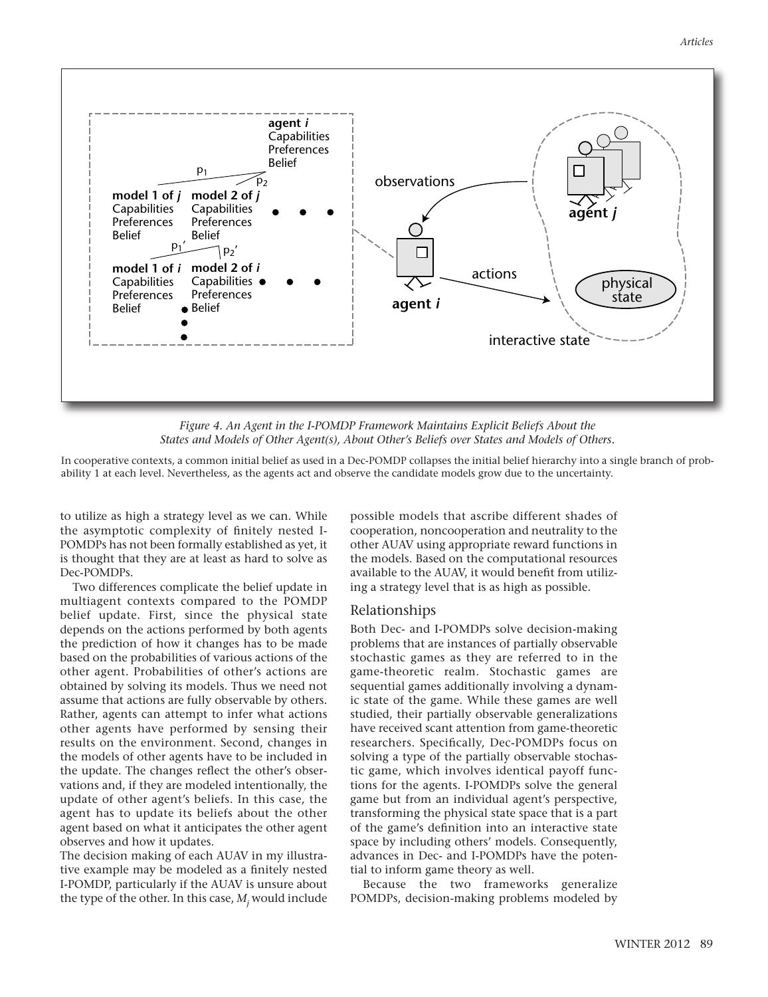

*Figure 4. An Agent in the I-POMDP Framework Maintains Explicit Beliefs About the States and Models of Other Agent(s), About Other's Beliefs over States and Models of Others.*

In cooperative contexts, a common initial belief as used in a Dec-POMDP collapses the initial belief hierarchy into a single branch of probability 1 at each level. Nevertheless, as the agents act and observe the candidate models grow due to the uncertainty.

to utilize as high a strategy level as we can. While the asymptotic complexity of finitely nested I-POMDPs has not been formally established as yet, it is thought that they are at least as hard to solve as Dec-POMDPs.

Two differences complicate the belief update in multiagent contexts compared to the POMDP belief update. First, since the physical state depends on the actions performed by both agents the prediction of how it changes has to be made based on the probabilities of various actions of the other agent. Probabilities of other's actions are obtained by solving its models. Thus we need not assume that actions are fully observable by others. Rather, agents can attempt to infer what actions other agents have performed by sensing their results on the environment. Second, changes in the models of other agents have to be included in the update. The changes reflect the other's observations and, if they are modeled intentionally, the update of other agent's beliefs. In this case, the agent has to update its beliefs about the other agent based on what it anticipates the other agent observes and how it updates.

The decision making of each AUAV in my illustrative example may be modeled as a finitely nested I-POMDP, particularly if the AUAV is unsure about the type of the other. In this case,  $M_i$  would include

possible models that ascribe different shades of cooperation, noncooperation and neutrality to the other AUAV using appropriate reward functions in the models. Based on the computational resources available to the AUAV, it would benefit from utilizing a strategy level that is as high as possible.

## Relationships

Both Dec- and I-POMDPs solve decision-making problems that are instances of partially observable stochastic games as they are referred to in the game-theoretic realm. Stochastic games are sequential games additionally involving a dynamic state of the game. While these games are well studied, their partially observable generalizations have received scant attention from game-theoretic researchers. Specifically, Dec-POMDPs focus on solving a type of the partially observable stochastic game, which involves identical payoff functions for the agents. I-POMDPs solve the general game but from an individual agent's perspective, transforming the physical state space that is a part of the game's definition into an interactive state space by including others' models. Consequently, advances in Dec- and I-POMDPs have the potential to inform game theory as well.

Because the two frameworks generalize POMDPs, decision-making problems modeled by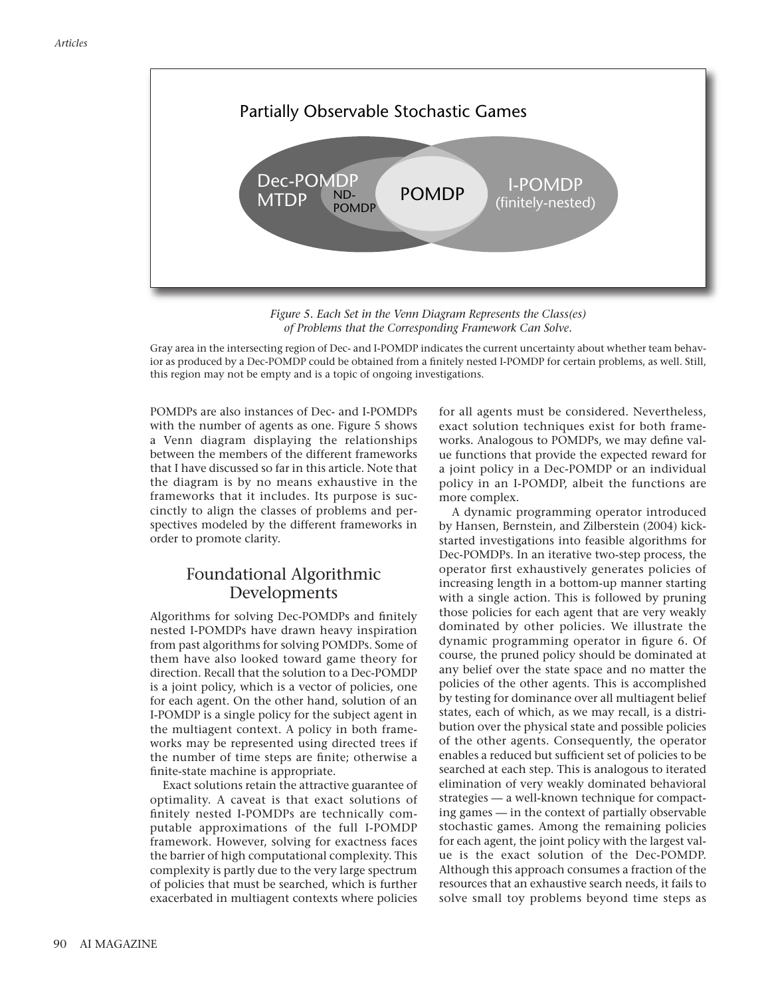

*Figure 5. Each Set in the Venn Diagram Represents the Class(es) of Problems that the Corresponding Framework Can Solve.*

Gray area in the intersecting region of Dec- and I-POMDP indicates the current uncertainty about whether team behavior as produced by a Dec-POMDP could be obtained from a finitely nested I-POMDP for certain problems, as well. Still, this region may not be empty and is a topic of ongoing investigations.

POMDPs are also instances of Dec- and I-POMDPs with the number of agents as one. Figure 5 shows a Venn diagram displaying the relationships between the members of the different frameworks that I have discussed so far in this article. Note that the diagram is by no means exhaustive in the frameworks that it includes. Its purpose is succinctly to align the classes of problems and perspectives modeled by the different frameworks in order to promote clarity.

# Foundational Algorithmic Developments

Algorithms for solving Dec-POMDPs and finitely nested I-POMDPs have drawn heavy inspiration from past algorithms for solving POMDPs. Some of them have also looked toward game theory for direction. Recall that the solution to a Dec-POMDP is a joint policy, which is a vector of policies, one for each agent. On the other hand, solution of an I-POMDP is a single policy for the subject agent in the multiagent context. A policy in both frameworks may be represented using directed trees if the number of time steps are finite; otherwise a finite-state machine is appropriate.

Exact solutions retain the attractive guarantee of optimality. A caveat is that exact solutions of finitely nested I-POMDPs are technically computable approximations of the full I-POMDP framework. However, solving for exactness faces the barrier of high computational complexity. This complexity is partly due to the very large spectrum of policies that must be searched, which is further exacerbated in multiagent contexts where policies

for all agents must be considered. Nevertheless, exact solution techniques exist for both frameworks. Analogous to POMDPs, we may define value functions that provide the expected reward for a joint policy in a Dec-POMDP or an individual policy in an I-POMDP, albeit the functions are more complex.

A dynamic programming operator introduced by Hansen, Bernstein, and Zilberstein (2004) kickstarted investigations into feasible algorithms for Dec-POMDPs. In an iterative two-step process, the operator first exhaustively generates policies of increasing length in a bottom-up manner starting with a single action. This is followed by pruning those policies for each agent that are very weakly dominated by other policies. We illustrate the dynamic programming operator in figure 6. Of course, the pruned policy should be dominated at any belief over the state space and no matter the policies of the other agents. This is accomplished by testing for dominance over all multiagent belief states, each of which, as we may recall, is a distribution over the physical state and possible policies of the other agents. Consequently, the operator enables a reduced but sufficient set of policies to be searched at each step. This is analogous to iterated elimination of very weakly dominated behavioral strategies — a well-known technique for compacting games — in the context of partially observable stochastic games. Among the remaining policies for each agent, the joint policy with the largest value is the exact solution of the Dec-POMDP. Although this approach consumes a fraction of the resources that an exhaustive search needs, it fails to solve small toy problems beyond time steps as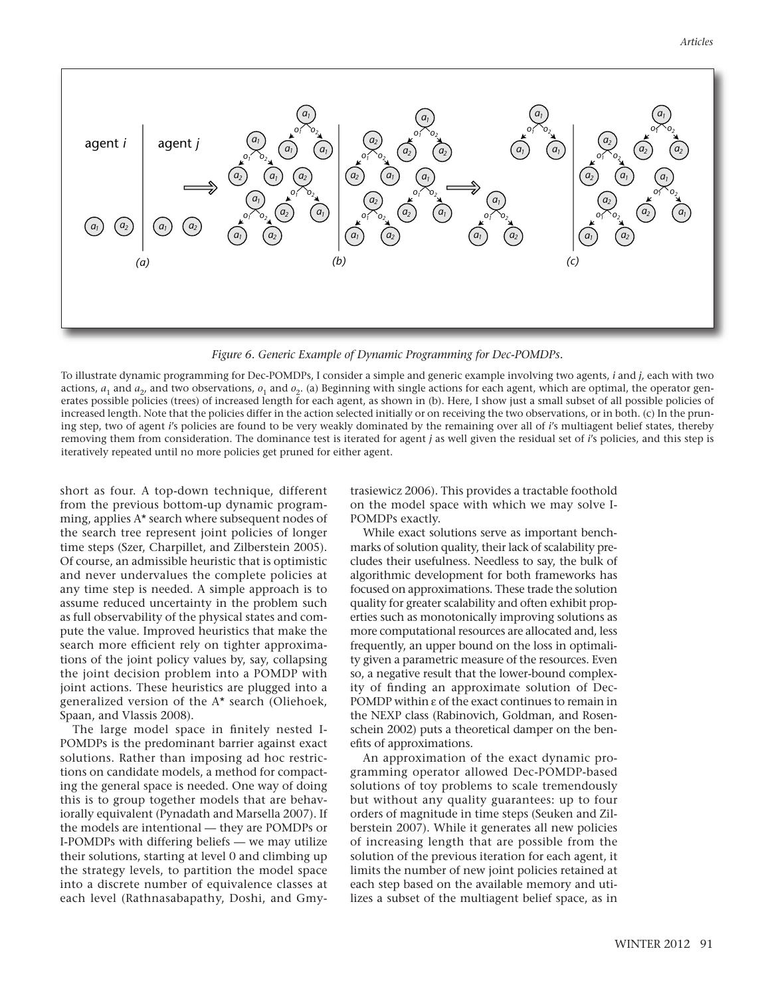WINTER 2012 91

*Articles*



short as four. A top-down technique, different from the previous bottom-up dynamic programming, applies A\* search where subsequent nodes of the search tree represent joint policies of longer time steps (Szer, Charpillet, and Zilberstein 2005). Of course, an admissible heuristic that is optimistic and never undervalues the complete policies at any time step is needed. A simple approach is to assume reduced uncertainty in the problem such as full observability of the physical states and compute the value. Improved heuristics that make the search more efficient rely on tighter approximations of the joint policy values by, say, collapsing the joint decision problem into a POMDP with joint actions. These heuristics are plugged into a generalized version of the A\* search (Oliehoek, Spaan, and Vlassis 2008).

The large model space in finitely nested I-POMDPs is the predominant barrier against exact solutions. Rather than imposing ad hoc restrictions on candidate models, a method for compacting the general space is needed. One way of doing this is to group together models that are behaviorally equivalent (Pynadath and Marsella 2007). If the models are intentional — they are POMDPs or I-POMDPs with differing beliefs — we may utilize their solutions, starting at level 0 and climbing up the strategy levels, to partition the model space into a discrete number of equivalence classes at each level (Rathnasabapathy, Doshi, and Gmy-

trasiewicz 2006). This provides a tractable foothold on the model space with which we may solve I-POMDPs exactly.

While exact solutions serve as important benchmarks of solution quality, their lack of scalability precludes their usefulness. Needless to say, the bulk of algorithmic development for both frameworks has focused on approximations. These trade the solution quality for greater scalability and often exhibit properties such as monotonically improving solutions as more computational resources are allocated and, less frequently, an upper bound on the loss in optimality given a parametric measure of the resources. Even so, a negative result that the lower-bound complexity of finding an approximate solution of Dec-POMDP within  $\varepsilon$  of the exact continues to remain in the NEXP class (Rabinovich, Goldman, and Rosenschein 2002) puts a theoretical damper on the benefits of approximations.

An approximation of the exact dynamic programming operator allowed Dec-POMDP-based solutions of toy problems to scale tremendously but without any quality guarantees: up to four orders of magnitude in time steps (Seuken and Zilberstein 2007). While it generates all new policies of increasing length that are possible from the solution of the previous iteration for each agent, it limits the number of new joint policies retained at each step based on the available memory and utilizes a subset of the multiagent belief space, as in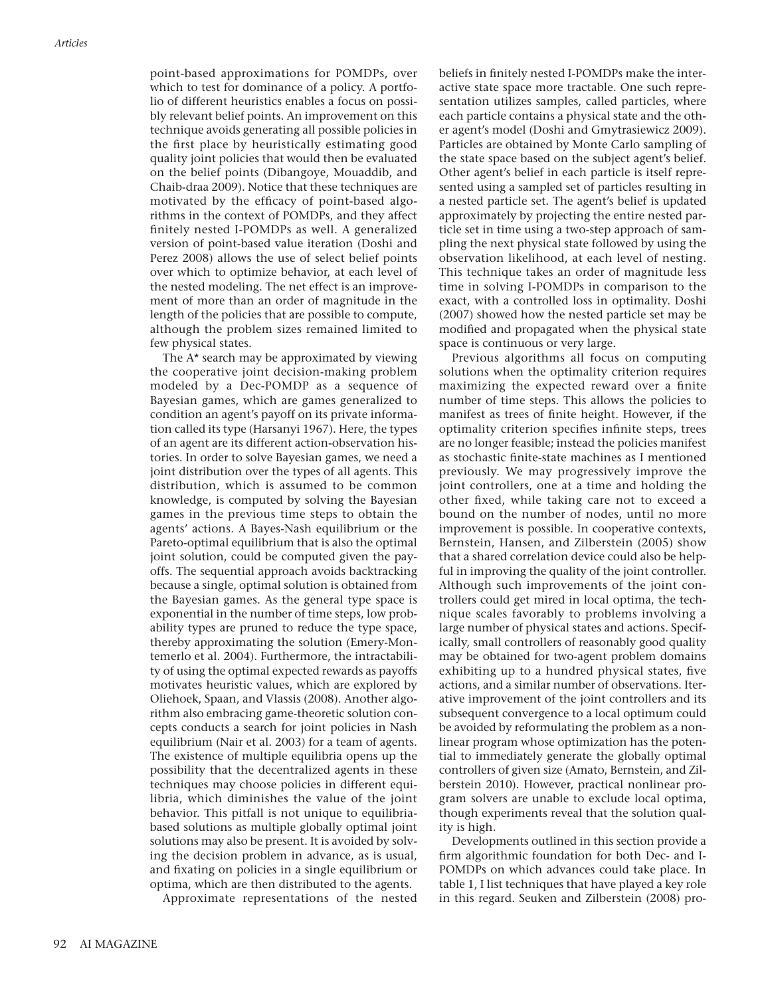point-based approximations for POMDPs, over which to test for dominance of a policy. A portfolio of different heuristics enables a focus on possibly relevant belief points. An improvement on this technique avoids generating all possible policies in the first place by heuristically estimating good quality joint policies that would then be evaluated on the belief points (Dibangoye, Mouaddib, and Chaib-draa 2009). Notice that these techniques are motivated by the efficacy of point-based algorithms in the context of POMDPs, and they affect finitely nested I-POMDPs as well. A generalized version of point-based value iteration (Doshi and Perez 2008) allows the use of select belief points over which to optimize behavior, at each level of the nested modeling. The net effect is an improvement of more than an order of magnitude in the length of the policies that are possible to compute, although the problem sizes remained limited to few physical states.

The A\* search may be approximated by viewing the cooperative joint decision-making problem modeled by a Dec-POMDP as a sequence of Bayesian games, which are games generalized to condition an agent's payoff on its private information called its type (Harsanyi 1967). Here, the types of an agent are its different action-observation histories. In order to solve Bayesian games, we need a joint distribution over the types of all agents. This distribution, which is assumed to be common knowledge, is computed by solving the Bayesian games in the previous time steps to obtain the agents' actions. A Bayes-Nash equilibrium or the Pareto-optimal equilibrium that is also the optimal joint solution, could be computed given the payoffs. The sequential approach avoids backtracking because a single, optimal solution is obtained from the Bayesian games. As the general type space is exponential in the number of time steps, low probability types are pruned to reduce the type space, thereby approximating the solution (Emery-Montemerlo et al. 2004). Furthermore, the intractability of using the optimal expected rewards as payoffs motivates heuristic values, which are explored by Oliehoek, Spaan, and Vlassis (2008). Another algorithm also embracing game-theoretic solution concepts conducts a search for joint policies in Nash equilibrium (Nair et al. 2003) for a team of agents. The existence of multiple equilibria opens up the possibility that the decentralized agents in these techniques may choose policies in different equilibria, which diminishes the value of the joint behavior. This pitfall is not unique to equilibriabased solutions as multiple globally optimal joint solutions may also be present. It is avoided by solving the decision problem in advance, as is usual, and fixating on policies in a single equilibrium or optima, which are then distributed to the agents.

Approximate representations of the nested

beliefs in finitely nested I-POMDPs make the interactive state space more tractable. One such representation utilizes samples, called particles, where each particle contains a physical state and the other agent's model (Doshi and Gmytrasiewicz 2009). Particles are obtained by Monte Carlo sampling of the state space based on the subject agent's belief. Other agent's belief in each particle is itself represented using a sampled set of particles resulting in a nested particle set. The agent's belief is updated approximately by projecting the entire nested particle set in time using a two-step approach of sampling the next physical state followed by using the observation likelihood, at each level of nesting. This technique takes an order of magnitude less time in solving I-POMDPs in comparison to the exact, with a controlled loss in optimality. Doshi (2007) showed how the nested particle set may be modified and propagated when the physical state space is continuous or very large.

Previous algorithms all focus on computing solutions when the optimality criterion requires maximizing the expected reward over a finite number of time steps. This allows the policies to manifest as trees of finite height. However, if the optimality criterion specifies infinite steps, trees are no longer feasible; instead the policies manifest as stochastic finite-state machines as I mentioned previously. We may progressively improve the joint controllers, one at a time and holding the other fixed, while taking care not to exceed a bound on the number of nodes, until no more improvement is possible. In cooperative contexts, Bernstein, Hansen, and Zilberstein (2005) show that a shared correlation device could also be helpful in improving the quality of the joint controller. Although such improvements of the joint controllers could get mired in local optima, the technique scales favorably to problems involving a large number of physical states and actions. Specifically, small controllers of reasonably good quality may be obtained for two-agent problem domains exhibiting up to a hundred physical states, five actions, and a similar number of observations. Iterative improvement of the joint controllers and its subsequent convergence to a local optimum could be avoided by reformulating the problem as a nonlinear program whose optimization has the potential to immediately generate the globally optimal controllers of given size (Amato, Bernstein, and Zilberstein 2010). However, practical nonlinear program solvers are unable to exclude local optima, though experiments reveal that the solution quality is high.

Developments outlined in this section provide a firm algorithmic foundation for both Dec- and I-POMDPs on which advances could take place. In table 1, I list techniques that have played a key role in this regard. Seuken and Zilberstein (2008) pro-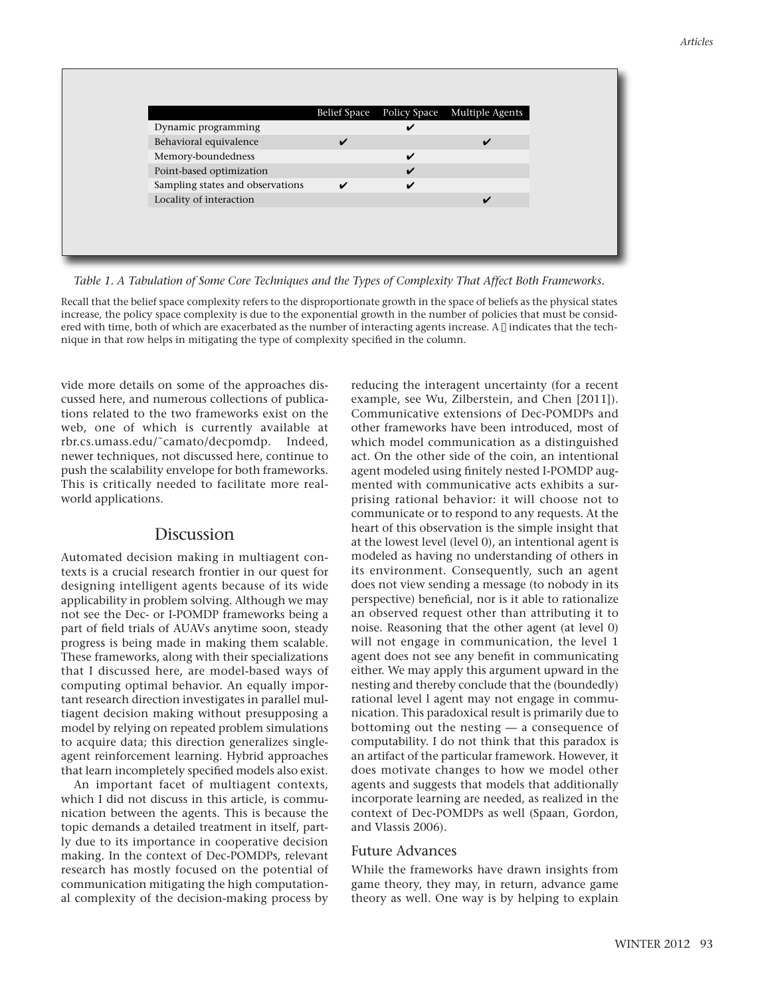

*Table 1. A Tabulation of Some Core Techniques and the Types of Complexity That Affect Both Frameworks.*

Recall that the belief space complexity refers to the disproportionate growth in the space of beliefs as the physical states increase, the policy space complexity is due to the exponential growth in the number of policies that must be considered with time, both of which are exacerbated as the number of interacting agents increase. A  $\Box$  indicates that the technique in that row helps in mitigating the type of complexity specified in the column.

vide more details on some of the approaches discussed here, and numerous collections of publications related to the two frameworks exist on the web, one of which is currently available at rbr.cs.umass.edu/˜camato/decpomdp. Indeed, newer techniques, not discussed here, continue to push the scalability envelope for both frameworks. This is critically needed to facilitate more realworld applications.

## Discussion

Automated decision making in multiagent contexts is a crucial research frontier in our quest for designing intelligent agents because of its wide applicability in problem solving. Although we may not see the Dec- or I-POMDP frameworks being a part of field trials of AUAVs anytime soon, steady progress is being made in making them scalable. These frameworks, along with their specializations that I discussed here, are model-based ways of computing optimal behavior. An equally important research direction investigates in parallel multiagent decision making without presupposing a model by relying on repeated problem simulations to acquire data; this direction generalizes singleagent reinforcement learning. Hybrid approaches that learn incompletely specified models also exist.

An important facet of multiagent contexts, which I did not discuss in this article, is communication between the agents. This is because the topic demands a detailed treatment in itself, partly due to its importance in cooperative decision making. In the context of Dec-POMDPs, relevant research has mostly focused on the potential of communication mitigating the high computational complexity of the decision-making process by

reducing the interagent uncertainty (for a recent example, see Wu, Zilberstein, and Chen [2011]). Communicative extensions of Dec-POMDPs and other frameworks have been introduced, most of which model communication as a distinguished act. On the other side of the coin, an intentional agent modeled using finitely nested I-POMDP augmented with communicative acts exhibits a surprising rational behavior: it will choose not to communicate or to respond to any requests. At the heart of this observation is the simple insight that at the lowest level (level 0), an intentional agent is modeled as having no understanding of others in its environment. Consequently, such an agent does not view sending a message (to nobody in its perspective) beneficial, nor is it able to rationalize an observed request other than attributing it to noise. Reasoning that the other agent (at level 0) will not engage in communication, the level 1 agent does not see any benefit in communicating either. We may apply this argument upward in the nesting and thereby conclude that the (boundedly) rational level l agent may not engage in communication. This paradoxical result is primarily due to bottoming out the nesting — a consequence of computability. I do not think that this paradox is an artifact of the particular framework. However, it does motivate changes to how we model other agents and suggests that models that additionally incorporate learning are needed, as realized in the context of Dec-POMDPs as well (Spaan, Gordon, and Vlassis 2006).

## Future Advances

While the frameworks have drawn insights from game theory, they may, in return, advance game theory as well. One way is by helping to explain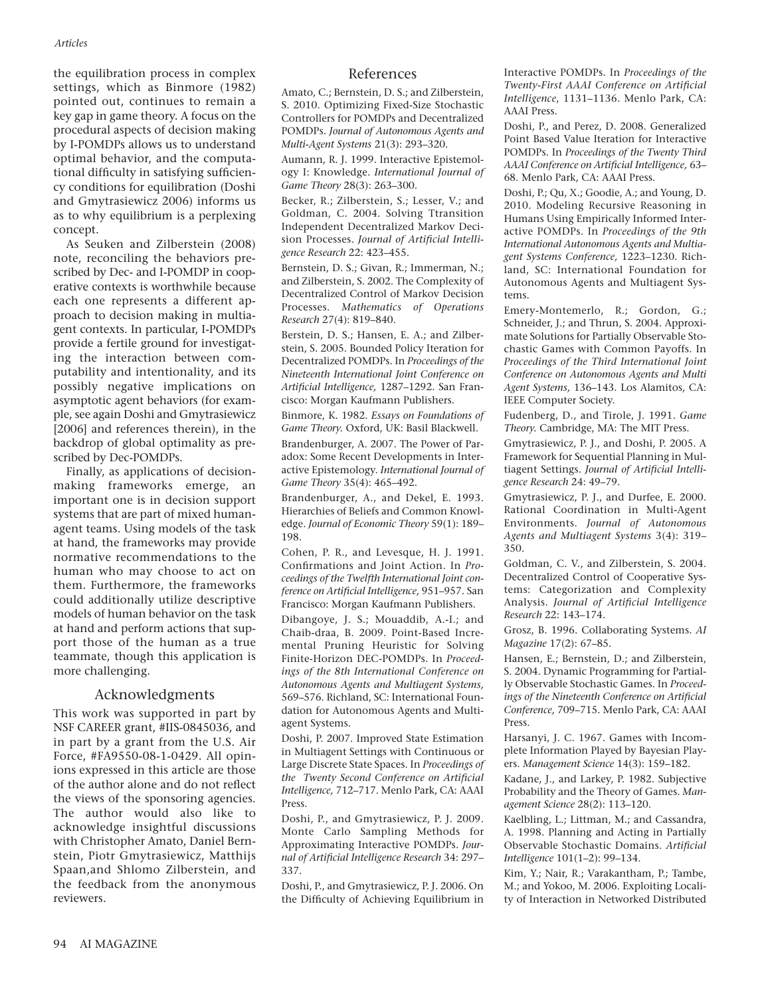the equilibration process in complex settings, which as Binmore (1982) pointed out, continues to remain a key gap in game theory. A focus on the procedural aspects of decision making by I-POMDPs allows us to understand optimal behavior, and the computational difficulty in satisfying sufficiency conditions for equilibration (Doshi and Gmytrasiewicz 2006) informs us as to why equilibrium is a perplexing concept.

As Seuken and Zilberstein (2008) note, reconciling the behaviors prescribed by Dec- and I-POMDP in cooperative contexts is worthwhile because each one represents a different approach to decision making in multiagent contexts. In particular, I-POMDPs provide a fertile ground for investigating the interaction between computability and intentionality, and its possibly negative implications on asymptotic agent behaviors (for example, see again Doshi and Gmytrasiewicz [2006] and references therein), in the backdrop of global optimality as prescribed by Dec-POMDPs.

Finally, as applications of decisionmaking frameworks emerge, an important one is in decision support systems that are part of mixed humanagent teams. Using models of the task at hand, the frameworks may provide normative recommendations to the human who may choose to act on them. Furthermore, the frameworks could additionally utilize descriptive models of human behavior on the task at hand and perform actions that support those of the human as a true teammate, though this application is more challenging.

## Acknowledgments

This work was supported in part by NSF CAREER grant, #IIS-0845036, and in part by a grant from the U.S. Air Force, #FA9550-08-1-0429. All opinions expressed in this article are those of the author alone and do not reflect the views of the sponsoring agencies. The author would also like to acknowledge insightful discussions with Christopher Amato, Daniel Bernstein, Piotr Gmytrasiewicz, Matthijs Spaan,and Shlomo Zilberstein, and the feedback from the anonymous reviewers.

## References

Amato, C.; Bernstein, D. S.; and Zilberstein, S. 2010. Optimizing Fixed-Size Stochastic Controllers for POMDPs and Decentralized POMDPs. *Journal of Autonomous Agents and Multi-Agent Systems* 21(3): 293–320.

Aumann, R. J. 1999. Interactive Epistemology I: Knowledge. *International Journal of Game Theory* 28(3): 263–300.

Becker, R.; Zilberstein, S.; Lesser, V.; and Goldman, C. 2004. Solving Ttransition Independent Decentralized Markov Decision Processes. *Journal of Artificial Intelligence Research* 22: 423–455.

Bernstein, D. S.; Givan, R.; Immerman, N.; and Zilberstein, S. 2002. The Complexity of Decentralized Control of Markov Decision Processes. *Mathematics of Operations Research* 27(4): 819–840.

Berstein, D. S.; Hansen, E. A.; and Zilberstein, S. 2005. Bounded Policy Iteration for Decentralized POMDPs. In *Proceedings of the Nineteenth International Joint Conference on Artificial Intelligence,* 1287–1292. San Francisco: Morgan Kaufmann Publishers.

Binmore, K. 1982. *Essays on Foundations of Game Theory.* Oxford, UK: Basil Blackwell.

Brandenburger, A. 2007. The Power of Paradox: Some Recent Developments in Interactive Epistemology. *International Journal of Game Theory* 35(4): 465–492.

Brandenburger, A., and Dekel, E. 1993. Hierarchies of Beliefs and Common Knowledge. *Journal of Economic Theory* 59(1): 189– 198.

Cohen, P. R., and Levesque, H. J. 1991. Confirmations and Joint Action. In *Proceedings of the Twelfth International Joint conference on Artificial Intelligence,* 951–957. San Francisco: Morgan Kaufmann Publishers.

Dibangoye, J. S.; Mouaddib, A.-I.; and Chaib-draa, B. 2009. Point-Based Incremental Pruning Heuristic for Solving Finite-Horizon DEC-POMDPs. In *Proceedings of the 8th International Conference on Autonomous Agents and Multiagent Systems,* 569–576. Richland, SC: International Foundation for Autonomous Agents and Multiagent Systems.

Doshi, P. 2007. Improved State Estimation in Multiagent Settings with Continuous or Large Discrete State Spaces. In *Proceedings of the Twenty Second Conference on Artificial Intelligence,* 712–717. Menlo Park, CA: AAAI Press.

Doshi, P., and Gmytrasiewicz, P. J. 2009. Monte Carlo Sampling Methods for Approximating Interactive POMDPs. *Journal of Artificial Intelligence Research* 34: 297– 337.

Doshi, P., and Gmytrasiewicz, P. J. 2006. On the Difficulty of Achieving Equilibrium in

Interactive POMDPs. In *Proceedings of the Twenty-First AAAI Conference on Artificial Intelligence*, 1131–1136. Menlo Park, CA: AAAI Press.

Doshi, P., and Perez, D. 2008. Generalized Point Based Value Iteration for Interactive POMDPs. In *Proceedings of the Twenty Third AAAI Conference on Artificial Intelligence,* 63– 68. Menlo Park, CA: AAAI Press.

Doshi, P.; Qu, X.; Goodie, A.; and Young, D. 2010. Modeling Recursive Reasoning in Humans Using Empirically Informed Interactive POMDPs. In *Proceedings of the 9th International Autonomous Agents and Multiagent Systems Conference,* 1223–1230. Richland, SC: International Foundation for Autonomous Agents and Multiagent Systems.

Emery-Montemerlo, R.; Gordon, G.; Schneider, J.; and Thrun, S. 2004. Approximate Solutions for Partially Observable Stochastic Games with Common Payoffs. In *Proceedings of the Third International Joint Conference on Autonomous Agents and Multi Agent Systems,* 136–143. Los Alamitos, CA: IEEE Computer Society.

Fudenberg, D., and Tirole, J. 1991. *Game Theory.* Cambridge, MA: The MIT Press.

Gmytrasiewicz, P. J., and Doshi, P. 2005. A Framework for Sequential Planning in Multiagent Settings. *Journal of Artificial Intelligence Research* 24: 49–79.

Gmytrasiewicz, P. J., and Durfee, E. 2000. Rational Coordination in Multi-Agent Environments. *Journal of Autonomous Agents and Multiagent Systems* 3(4): 319– 350.

Goldman, C. V., and Zilberstein, S. 2004. Decentralized Control of Cooperative Systems: Categorization and Complexity Analysis. *Journal of Artificial Intelligence Research* 22: 143–174.

Grosz, B. 1996. Collaborating Systems. *AI Magazine* 17(2): 67–85.

Hansen, E.; Bernstein, D.; and Zilberstein, S. 2004. Dynamic Programming for Partially Observable Stochastic Games. In *Proceedings of the Nineteenth Conference on Artificial Conference,* 709–715. Menlo Park, CA: AAAI Press.

Harsanyi, J. C. 1967. Games with Incomplete Information Played by Bayesian Players. *Management Science* 14(3): 159–182.

Kadane, J., and Larkey, P. 1982. Subjective Probability and the Theory of Games. *Management Science* 28(2): 113–120.

Kaelbling, L.; Littman, M.; and Cassandra, A. 1998. Planning and Acting in Partially Observable Stochastic Domains. *Artificial Intelligence* 101(1–2): 99–134.

Kim, Y.; Nair, R.; Varakantham, P.; Tambe, M.; and Yokoo, M. 2006. Exploiting Locality of Interaction in Networked Distributed